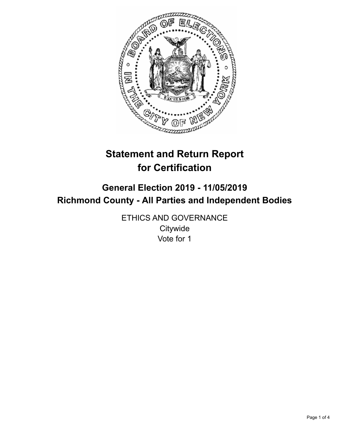

# **Statement and Return Report for Certification**

# **General Election 2019 - 11/05/2019 Richmond County - All Parties and Independent Bodies**

ETHICS AND GOVERNANCE **Citywide** Vote for 1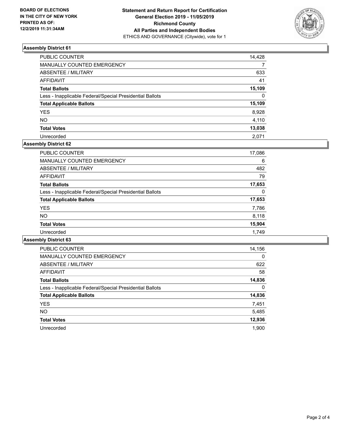

### **Assembly District 61**

| PUBLIC COUNTER                                           | 14,428   |
|----------------------------------------------------------|----------|
| <b>MANUALLY COUNTED EMERGENCY</b>                        | 7        |
| <b>ABSENTEE / MILITARY</b>                               | 633      |
| <b>AFFIDAVIT</b>                                         | 41       |
| <b>Total Ballots</b>                                     | 15,109   |
| Less - Inapplicable Federal/Special Presidential Ballots | $\Omega$ |
| <b>Total Applicable Ballots</b>                          | 15,109   |
| <b>YES</b>                                               | 8,928    |
| <b>NO</b>                                                | 4,110    |
| <b>Total Votes</b>                                       | 13,038   |
| Unrecorded                                               | 2.071    |

## **Assembly District 62**

| <b>PUBLIC COUNTER</b>                                    | 17,086 |
|----------------------------------------------------------|--------|
| <b>MANUALLY COUNTED EMERGENCY</b>                        | 6      |
| ABSENTEE / MILITARY                                      | 482    |
| AFFIDAVIT                                                | 79     |
| <b>Total Ballots</b>                                     | 17,653 |
| Less - Inapplicable Federal/Special Presidential Ballots | 0      |
| <b>Total Applicable Ballots</b>                          | 17,653 |
| <b>YES</b>                                               | 7,786  |
| <b>NO</b>                                                | 8,118  |
| <b>Total Votes</b>                                       | 15,904 |
| Unrecorded                                               | 1.749  |

#### **Assembly District 63**

| <b>PUBLIC COUNTER</b>                                    | 14,156   |
|----------------------------------------------------------|----------|
| <b>MANUALLY COUNTED EMERGENCY</b>                        | $\Omega$ |
| ABSENTEE / MILITARY                                      | 622      |
| <b>AFFIDAVIT</b>                                         | 58       |
| <b>Total Ballots</b>                                     | 14,836   |
| Less - Inapplicable Federal/Special Presidential Ballots | $\Omega$ |
| <b>Total Applicable Ballots</b>                          | 14,836   |
| <b>YES</b>                                               | 7,451    |
| NO.                                                      | 5,485    |
| <b>Total Votes</b>                                       | 12,936   |
| Unrecorded                                               | 1.900    |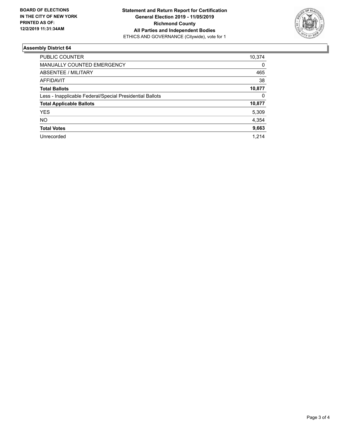

### **Assembly District 64**

| PUBLIC COUNTER                                           | 10,374 |
|----------------------------------------------------------|--------|
| <b>MANUALLY COUNTED EMERGENCY</b>                        | 0      |
| ABSENTEE / MILITARY                                      | 465    |
| AFFIDAVIT                                                | 38     |
| <b>Total Ballots</b>                                     | 10,877 |
| Less - Inapplicable Federal/Special Presidential Ballots | 0      |
| <b>Total Applicable Ballots</b>                          | 10,877 |
| <b>YES</b>                                               | 5,309  |
| NO.                                                      | 4,354  |
| <b>Total Votes</b>                                       | 9,663  |
| Unrecorded                                               | 1.214  |